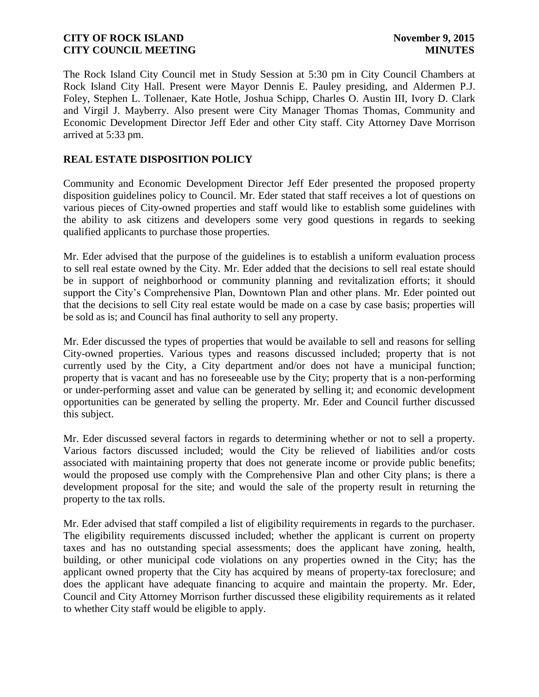The Rock Island City Council met in Study Session at 5:30 pm in City Council Chambers at Rock Island City Hall. Present were Mayor Dennis E. Pauley presiding, and Aldermen P.J. Foley, Stephen L. Tollenaer, Kate Hotle, Joshua Schipp, Charles O. Austin III, Ivory D. Clark and Virgil J. Mayberry. Also present were City Manager Thomas Thomas, Community and Economic Development Director Jeff Eder and other City staff. City Attorney Dave Morrison arrived at 5:33 pm.

### **REAL ESTATE DISPOSITION POLICY**

Community and Economic Development Director Jeff Eder presented the proposed property disposition guidelines policy to Council. Mr. Eder stated that staff receives a lot of questions on various pieces of City-owned properties and staff would like to establish some guidelines with the ability to ask citizens and developers some very good questions in regards to seeking qualified applicants to purchase those properties.

Mr. Eder advised that the purpose of the guidelines is to establish a uniform evaluation process to sell real estate owned by the City. Mr. Eder added that the decisions to sell real estate should be in support of neighborhood or community planning and revitalization efforts; it should support the City's Comprehensive Plan, Downtown Plan and other plans. Mr. Eder pointed out that the decisions to sell City real estate would be made on a case by case basis; properties will be sold as is; and Council has final authority to sell any property.

Mr. Eder discussed the types of properties that would be available to sell and reasons for selling City-owned properties. Various types and reasons discussed included; property that is not currently used by the City, a City department and/or does not have a municipal function; property that is vacant and has no foreseeable use by the City; property that is a non-performing or under-performing asset and value can be generated by selling it; and economic development opportunities can be generated by selling the property. Mr. Eder and Council further discussed this subject.

Mr. Eder discussed several factors in regards to determining whether or not to sell a property. Various factors discussed included; would the City be relieved of liabilities and/or costs associated with maintaining property that does not generate income or provide public benefits; would the proposed use comply with the Comprehensive Plan and other City plans; is there a development proposal for the site; and would the sale of the property result in returning the property to the tax rolls.

Mr. Eder advised that staff compiled a list of eligibility requirements in regards to the purchaser. The eligibility requirements discussed included; whether the applicant is current on property taxes and has no outstanding special assessments; does the applicant have zoning, health, building, or other municipal code violations on any properties owned in the City; has the applicant owned property that the City has acquired by means of property-tax foreclosure; and does the applicant have adequate financing to acquire and maintain the property. Mr. Eder, Council and City Attorney Morrison further discussed these eligibility requirements as it related to whether City staff would be eligible to apply.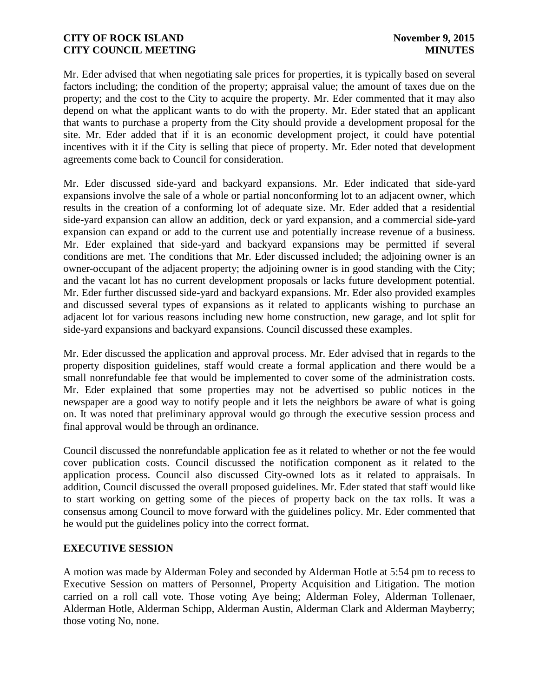Mr. Eder advised that when negotiating sale prices for properties, it is typically based on several factors including; the condition of the property; appraisal value; the amount of taxes due on the property; and the cost to the City to acquire the property. Mr. Eder commented that it may also depend on what the applicant wants to do with the property. Mr. Eder stated that an applicant that wants to purchase a property from the City should provide a development proposal for the site. Mr. Eder added that if it is an economic development project, it could have potential incentives with it if the City is selling that piece of property. Mr. Eder noted that development agreements come back to Council for consideration.

Mr. Eder discussed side-yard and backyard expansions. Mr. Eder indicated that side-yard expansions involve the sale of a whole or partial nonconforming lot to an adjacent owner, which results in the creation of a conforming lot of adequate size. Mr. Eder added that a residential side-yard expansion can allow an addition, deck or yard expansion, and a commercial side-yard expansion can expand or add to the current use and potentially increase revenue of a business. Mr. Eder explained that side-yard and backyard expansions may be permitted if several conditions are met. The conditions that Mr. Eder discussed included; the adjoining owner is an owner-occupant of the adjacent property; the adjoining owner is in good standing with the City; and the vacant lot has no current development proposals or lacks future development potential. Mr. Eder further discussed side-yard and backyard expansions. Mr. Eder also provided examples and discussed several types of expansions as it related to applicants wishing to purchase an adjacent lot for various reasons including new home construction, new garage, and lot split for side-yard expansions and backyard expansions. Council discussed these examples.

Mr. Eder discussed the application and approval process. Mr. Eder advised that in regards to the property disposition guidelines, staff would create a formal application and there would be a small nonrefundable fee that would be implemented to cover some of the administration costs. Mr. Eder explained that some properties may not be advertised so public notices in the newspaper are a good way to notify people and it lets the neighbors be aware of what is going on. It was noted that preliminary approval would go through the executive session process and final approval would be through an ordinance.

Council discussed the nonrefundable application fee as it related to whether or not the fee would cover publication costs. Council discussed the notification component as it related to the application process. Council also discussed City-owned lots as it related to appraisals. In addition, Council discussed the overall proposed guidelines. Mr. Eder stated that staff would like to start working on getting some of the pieces of property back on the tax rolls. It was a consensus among Council to move forward with the guidelines policy. Mr. Eder commented that he would put the guidelines policy into the correct format.

# **EXECUTIVE SESSION**

A motion was made by Alderman Foley and seconded by Alderman Hotle at 5:54 pm to recess to Executive Session on matters of Personnel, Property Acquisition and Litigation. The motion carried on a roll call vote. Those voting Aye being; Alderman Foley, Alderman Tollenaer, Alderman Hotle, Alderman Schipp, Alderman Austin, Alderman Clark and Alderman Mayberry; those voting No, none.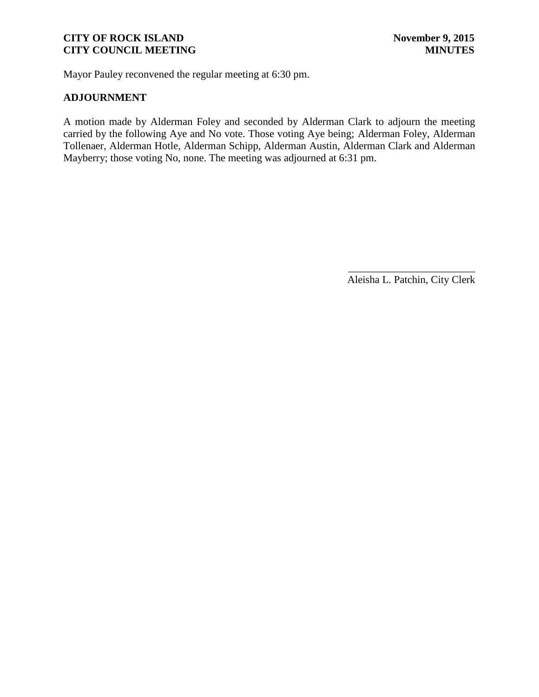Mayor Pauley reconvened the regular meeting at 6:30 pm.

### **ADJOURNMENT**

A motion made by Alderman Foley and seconded by Alderman Clark to adjourn the meeting carried by the following Aye and No vote. Those voting Aye being; Alderman Foley, Alderman Tollenaer, Alderman Hotle, Alderman Schipp, Alderman Austin, Alderman Clark and Alderman Mayberry; those voting No, none. The meeting was adjourned at 6:31 pm.

> \_\_\_\_\_\_\_\_\_\_\_\_\_\_\_\_\_\_\_\_\_\_\_\_ Aleisha L. Patchin, City Clerk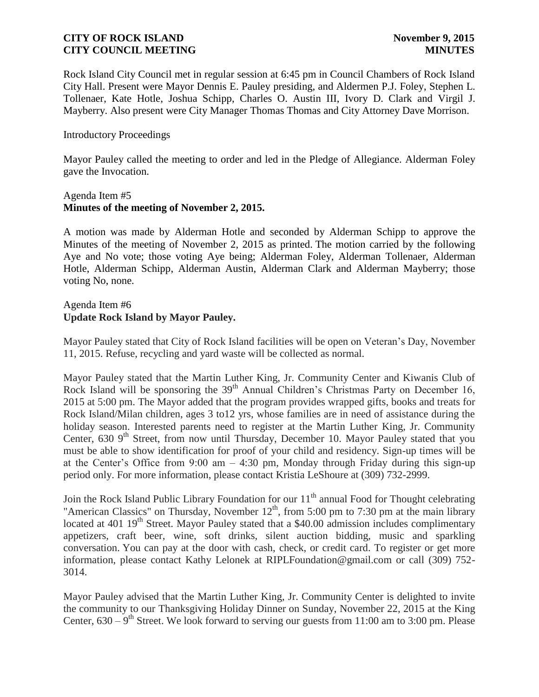Rock Island City Council met in regular session at 6:45 pm in Council Chambers of Rock Island City Hall. Present were Mayor Dennis E. Pauley presiding, and Aldermen P.J. Foley, Stephen L. Tollenaer, Kate Hotle, Joshua Schipp, Charles O. Austin III, Ivory D. Clark and Virgil J. Mayberry. Also present were City Manager Thomas Thomas and City Attorney Dave Morrison.

#### Introductory Proceedings

Mayor Pauley called the meeting to order and led in the Pledge of Allegiance. Alderman Foley gave the Invocation.

#### Agenda Item #5 **Minutes of the meeting of November 2, 2015.**

A motion was made by Alderman Hotle and seconded by Alderman Schipp to approve the Minutes of the meeting of November 2, 2015 as printed. The motion carried by the following Aye and No vote; those voting Aye being; Alderman Foley, Alderman Tollenaer, Alderman Hotle, Alderman Schipp, Alderman Austin, Alderman Clark and Alderman Mayberry; those voting No, none.

### Agenda Item #6 **Update Rock Island by Mayor Pauley.**

Mayor Pauley stated that City of Rock Island facilities will be open on Veteran's Day, November 11, 2015. Refuse, recycling and yard waste will be collected as normal.

Mayor Pauley stated that the Martin Luther King, Jr. Community Center and Kiwanis Club of Rock Island will be sponsoring the 39<sup>th</sup> Annual Children's Christmas Party on December 16, 2015 at 5:00 pm. The Mayor added that the program provides wrapped gifts, books and treats for Rock Island/Milan children, ages 3 to12 yrs, whose families are in need of assistance during the holiday season. Interested parents need to register at the Martin Luther King, Jr. Community Center,  $630\,9^{th}$  Street, from now until Thursday, December 10. Mayor Pauley stated that you must be able to show identification for proof of your child and residency. Sign-up times will be at the Center's Office from 9:00 am  $-$  4:30 pm, Monday through Friday during this sign-up period only. For more information, please contact Kristia LeShoure at (309) 732-2999.

Join the Rock Island Public Library Foundation for our 11<sup>th</sup> annual Food for Thought celebrating "American Classics" on Thursday, November  $12<sup>th</sup>$ , from 5:00 pm to 7:30 pm at the main library located at 401 19<sup>th</sup> Street. Mayor Pauley stated that a \$40.00 admission includes complimentary appetizers, craft beer, wine, soft drinks, silent auction bidding, music and sparkling conversation. You can pay at the door with cash, check, or credit card. To register or get more information, please contact Kathy Lelonek at RIPLFoundation@gmail.com or call (309) 752- 3014.

Mayor Pauley advised that the Martin Luther King, Jr. Community Center is delighted to invite the community to our Thanksgiving Holiday Dinner on Sunday, November 22, 2015 at the King Center,  $630 - 9$ <sup>th</sup> Street. We look forward to serving our guests from 11:00 am to 3:00 pm. Please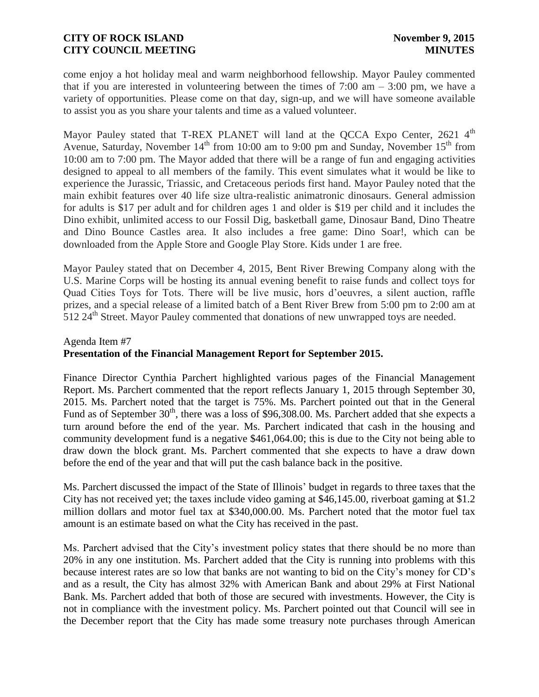come enjoy a hot holiday meal and warm neighborhood fellowship. Mayor Pauley commented that if you are interested in volunteering between the times of  $7:00 \text{ am} - 3:00 \text{ pm}$ , we have a variety of opportunities. Please come on that day, sign-up, and we will have someone available to assist you as you share your talents and time as a valued volunteer.

Mayor Pauley stated that T-REX PLANET will land at the QCCA Expo Center, 2621 4<sup>th</sup> Avenue, Saturday, November  $14<sup>th</sup>$  from 10:00 am to 9:00 pm and Sunday, November  $15<sup>th</sup>$  from 10:00 am to 7:00 pm. The Mayor added that there will be a range of fun and engaging activities designed to appeal to all members of the family. This event simulates what it would be like to experience the Jurassic, Triassic, and Cretaceous periods first hand. Mayor Pauley noted that the main exhibit features over 40 life size ultra-realistic animatronic dinosaurs. General admission for adults is \$17 per adult and for children ages 1 and older is \$19 per child and it includes the Dino exhibit, unlimited access to our Fossil Dig, basketball game, Dinosaur Band, Dino Theatre and Dino Bounce Castles area. It also includes a free game: Dino Soar!, which can be downloaded from the Apple Store and Google Play Store. Kids under 1 are free.

Mayor Pauley stated that on December 4, 2015, Bent River Brewing Company along with the U.S. Marine Corps will be hosting its annual evening benefit to raise funds and collect toys for Quad Cities Toys for Tots. There will be live music, hors d'oeuvres, a silent auction, raffle prizes, and a special release of a limited batch of a Bent River Brew from 5:00 pm to 2:00 am at 512 24<sup>th</sup> Street. Mayor Pauley commented that donations of new unwrapped toys are needed.

# Agenda Item #7 **Presentation of the Financial Management Report for September 2015.**

Finance Director Cynthia Parchert highlighted various pages of the Financial Management Report. Ms. Parchert commented that the report reflects January 1, 2015 through September 30, 2015. Ms. Parchert noted that the target is 75%. Ms. Parchert pointed out that in the General Fund as of September  $30<sup>th</sup>$ , there was a loss of \$96,308.00. Ms. Parchert added that she expects a turn around before the end of the year. Ms. Parchert indicated that cash in the housing and community development fund is a negative \$461,064.00; this is due to the City not being able to draw down the block grant. Ms. Parchert commented that she expects to have a draw down before the end of the year and that will put the cash balance back in the positive.

Ms. Parchert discussed the impact of the State of Illinois' budget in regards to three taxes that the City has not received yet; the taxes include video gaming at \$46,145.00, riverboat gaming at \$1.2 million dollars and motor fuel tax at \$340,000.00. Ms. Parchert noted that the motor fuel tax amount is an estimate based on what the City has received in the past.

Ms. Parchert advised that the City's investment policy states that there should be no more than 20% in any one institution. Ms. Parchert added that the City is running into problems with this because interest rates are so low that banks are not wanting to bid on the City's money for CD's and as a result, the City has almost 32% with American Bank and about 29% at First National Bank. Ms. Parchert added that both of those are secured with investments. However, the City is not in compliance with the investment policy. Ms. Parchert pointed out that Council will see in the December report that the City has made some treasury note purchases through American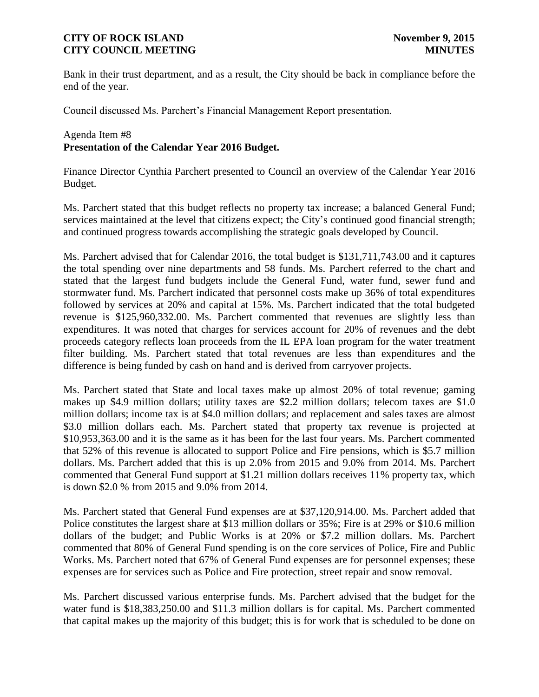Bank in their trust department, and as a result, the City should be back in compliance before the end of the year.

Council discussed Ms. Parchert's Financial Management Report presentation.

### Agenda Item #8 **Presentation of the Calendar Year 2016 Budget.**

Finance Director Cynthia Parchert presented to Council an overview of the Calendar Year 2016 Budget.

Ms. Parchert stated that this budget reflects no property tax increase; a balanced General Fund; services maintained at the level that citizens expect; the City's continued good financial strength; and continued progress towards accomplishing the strategic goals developed by Council.

Ms. Parchert advised that for Calendar 2016, the total budget is \$131,711,743.00 and it captures the total spending over nine departments and 58 funds. Ms. Parchert referred to the chart and stated that the largest fund budgets include the General Fund, water fund, sewer fund and stormwater fund. Ms. Parchert indicated that personnel costs make up 36% of total expenditures followed by services at 20% and capital at 15%. Ms. Parchert indicated that the total budgeted revenue is \$125,960,332.00. Ms. Parchert commented that revenues are slightly less than expenditures. It was noted that charges for services account for 20% of revenues and the debt proceeds category reflects loan proceeds from the IL EPA loan program for the water treatment filter building. Ms. Parchert stated that total revenues are less than expenditures and the difference is being funded by cash on hand and is derived from carryover projects.

Ms. Parchert stated that State and local taxes make up almost 20% of total revenue; gaming makes up \$4.9 million dollars; utility taxes are \$2.2 million dollars; telecom taxes are \$1.0 million dollars; income tax is at \$4.0 million dollars; and replacement and sales taxes are almost \$3.0 million dollars each. Ms. Parchert stated that property tax revenue is projected at \$10,953,363.00 and it is the same as it has been for the last four years. Ms. Parchert commented that 52% of this revenue is allocated to support Police and Fire pensions, which is \$5.7 million dollars. Ms. Parchert added that this is up 2.0% from 2015 and 9.0% from 2014. Ms. Parchert commented that General Fund support at \$1.21 million dollars receives 11% property tax, which is down \$2.0 % from 2015 and 9.0% from 2014.

Ms. Parchert stated that General Fund expenses are at \$37,120,914.00. Ms. Parchert added that Police constitutes the largest share at \$13 million dollars or 35%; Fire is at 29% or \$10.6 million dollars of the budget; and Public Works is at 20% or \$7.2 million dollars. Ms. Parchert commented that 80% of General Fund spending is on the core services of Police, Fire and Public Works. Ms. Parchert noted that 67% of General Fund expenses are for personnel expenses; these expenses are for services such as Police and Fire protection, street repair and snow removal.

Ms. Parchert discussed various enterprise funds. Ms. Parchert advised that the budget for the water fund is \$18,383,250.00 and \$11.3 million dollars is for capital. Ms. Parchert commented that capital makes up the majority of this budget; this is for work that is scheduled to be done on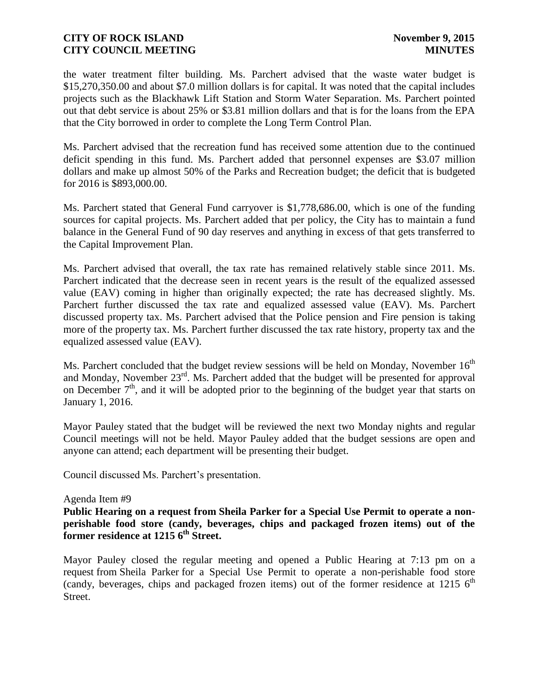the water treatment filter building. Ms. Parchert advised that the waste water budget is \$15,270,350.00 and about \$7.0 million dollars is for capital. It was noted that the capital includes projects such as the Blackhawk Lift Station and Storm Water Separation. Ms. Parchert pointed out that debt service is about 25% or \$3.81 million dollars and that is for the loans from the EPA that the City borrowed in order to complete the Long Term Control Plan.

Ms. Parchert advised that the recreation fund has received some attention due to the continued deficit spending in this fund. Ms. Parchert added that personnel expenses are \$3.07 million dollars and make up almost 50% of the Parks and Recreation budget; the deficit that is budgeted for 2016 is \$893,000.00.

Ms. Parchert stated that General Fund carryover is \$1,778,686.00, which is one of the funding sources for capital projects. Ms. Parchert added that per policy, the City has to maintain a fund balance in the General Fund of 90 day reserves and anything in excess of that gets transferred to the Capital Improvement Plan.

Ms. Parchert advised that overall, the tax rate has remained relatively stable since 2011. Ms. Parchert indicated that the decrease seen in recent years is the result of the equalized assessed value (EAV) coming in higher than originally expected; the rate has decreased slightly. Ms. Parchert further discussed the tax rate and equalized assessed value (EAV). Ms. Parchert discussed property tax. Ms. Parchert advised that the Police pension and Fire pension is taking more of the property tax. Ms. Parchert further discussed the tax rate history, property tax and the equalized assessed value (EAV).

Ms. Parchert concluded that the budget review sessions will be held on Monday, November  $16<sup>th</sup>$ and Monday, November  $23<sup>rd</sup>$ . Ms. Parchert added that the budget will be presented for approval on December  $7<sup>th</sup>$ , and it will be adopted prior to the beginning of the budget year that starts on January 1, 2016.

Mayor Pauley stated that the budget will be reviewed the next two Monday nights and regular Council meetings will not be held. Mayor Pauley added that the budget sessions are open and anyone can attend; each department will be presenting their budget.

Council discussed Ms. Parchert's presentation.

#### Agenda Item #9

**Public Hearing on a request from Sheila Parker for a Special Use Permit to operate a nonperishable food store (candy, beverages, chips and packaged frozen items) out of the former residence at 1215 6 th Street.**

Mayor Pauley closed the regular meeting and opened a Public Hearing at 7:13 pm on a request from Sheila Parker for a Special Use Permit to operate a non-perishable food store (candy, beverages, chips and packaged frozen items) out of the former residence at 1215  $6<sup>th</sup>$ Street.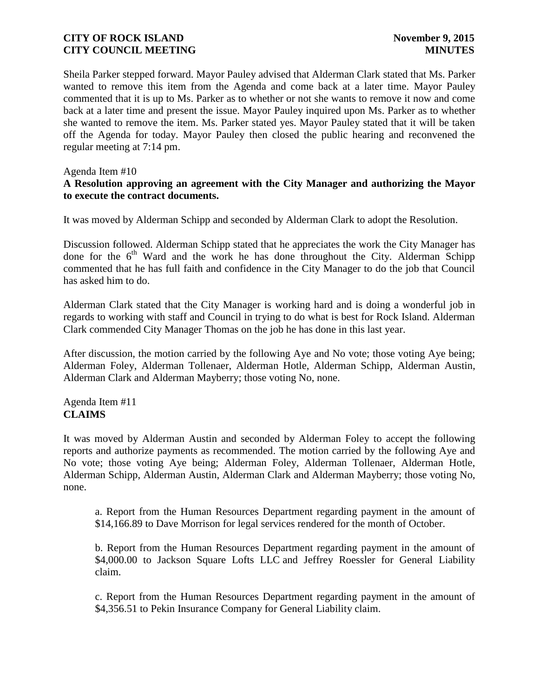Sheila Parker stepped forward. Mayor Pauley advised that Alderman Clark stated that Ms. Parker wanted to remove this item from the Agenda and come back at a later time. Mayor Pauley commented that it is up to Ms. Parker as to whether or not she wants to remove it now and come back at a later time and present the issue. Mayor Pauley inquired upon Ms. Parker as to whether she wanted to remove the item. Ms. Parker stated yes. Mayor Pauley stated that it will be taken off the Agenda for today. Mayor Pauley then closed the public hearing and reconvened the regular meeting at 7:14 pm.

#### Agenda Item #10

### **A Resolution approving an agreement with the City Manager and authorizing the Mayor to execute the contract documents.**

It was moved by Alderman Schipp and seconded by Alderman Clark to adopt the Resolution.

Discussion followed. Alderman Schipp stated that he appreciates the work the City Manager has done for the  $6<sup>th</sup>$  Ward and the work he has done throughout the City. Alderman Schipp commented that he has full faith and confidence in the City Manager to do the job that Council has asked him to do.

Alderman Clark stated that the City Manager is working hard and is doing a wonderful job in regards to working with staff and Council in trying to do what is best for Rock Island. Alderman Clark commended City Manager Thomas on the job he has done in this last year.

After discussion, the motion carried by the following Aye and No vote; those voting Aye being; Alderman Foley, Alderman Tollenaer, Alderman Hotle, Alderman Schipp, Alderman Austin, Alderman Clark and Alderman Mayberry; those voting No, none.

### Agenda Item #11 **CLAIMS**

It was moved by Alderman Austin and seconded by Alderman Foley to accept the following reports and authorize payments as recommended. The motion carried by the following Aye and No vote; those voting Aye being; Alderman Foley, Alderman Tollenaer, Alderman Hotle, Alderman Schipp, Alderman Austin, Alderman Clark and Alderman Mayberry; those voting No, none.

a. Report from the Human Resources Department regarding payment in the amount of \$14,166.89 to Dave Morrison for legal services rendered for the month of October.

b. Report from the Human Resources Department regarding payment in the amount of \$4,000.00 to Jackson Square Lofts LLC and Jeffrey Roessler for General Liability claim.

c. Report from the Human Resources Department regarding payment in the amount of \$4,356.51 to Pekin Insurance Company for General Liability claim.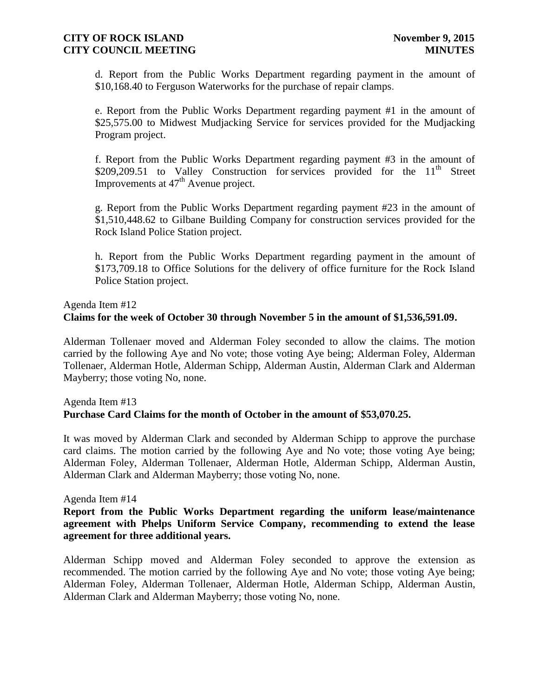d. Report from the Public Works Department regarding payment in the amount of \$10,168.40 to Ferguson Waterworks for the purchase of repair clamps.

e. Report from the Public Works Department regarding payment #1 in the amount of \$25,575.00 to Midwest Mudjacking Service for services provided for the Mudjacking Program project.

f. Report from the Public Works Department regarding payment #3 in the amount of \$209,209.51 to Valley Construction for services provided for the  $11<sup>th</sup>$  Street Improvements at  $47<sup>th</sup>$  Avenue project.

g. Report from the Public Works Department regarding payment #23 in the amount of \$1,510,448.62 to Gilbane Building Company for construction services provided for the Rock Island Police Station project.

h. Report from the Public Works Department regarding payment in the amount of \$173,709.18 to Office Solutions for the delivery of office furniture for the Rock Island Police Station project.

#### Agenda Item #12

### **Claims for the week of October 30 through November 5 in the amount of \$1,536,591.09.**

Alderman Tollenaer moved and Alderman Foley seconded to allow the claims. The motion carried by the following Aye and No vote; those voting Aye being; Alderman Foley, Alderman Tollenaer, Alderman Hotle, Alderman Schipp, Alderman Austin, Alderman Clark and Alderman Mayberry; those voting No, none.

# Agenda Item #13 **Purchase Card Claims for the month of October in the amount of \$53,070.25.**

It was moved by Alderman Clark and seconded by Alderman Schipp to approve the purchase card claims. The motion carried by the following Aye and No vote; those voting Aye being; Alderman Foley, Alderman Tollenaer, Alderman Hotle, Alderman Schipp, Alderman Austin, Alderman Clark and Alderman Mayberry; those voting No, none.

#### Agenda Item #14

### **Report from the Public Works Department regarding the uniform lease/maintenance agreement with Phelps Uniform Service Company, recommending to extend the lease agreement for three additional years.**

Alderman Schipp moved and Alderman Foley seconded to approve the extension as recommended. The motion carried by the following Aye and No vote; those voting Aye being; Alderman Foley, Alderman Tollenaer, Alderman Hotle, Alderman Schipp, Alderman Austin, Alderman Clark and Alderman Mayberry; those voting No, none.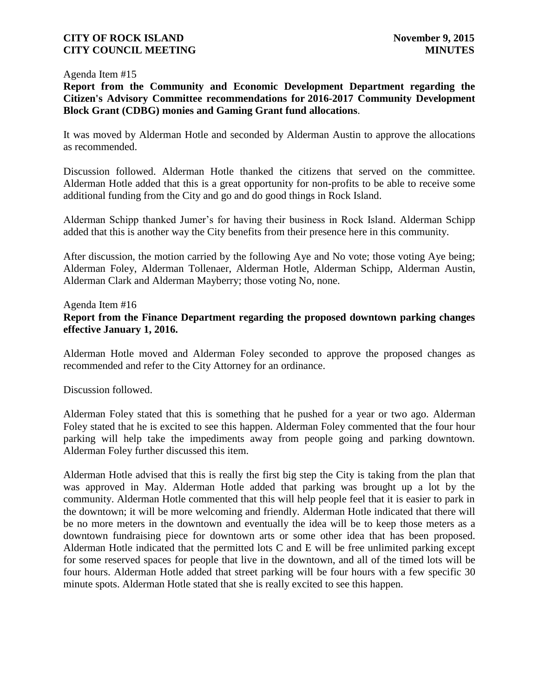#### Agenda Item #15

**Report from the Community and Economic Development Department regarding the Citizen's Advisory Committee recommendations for 2016-2017 Community Development Block Grant (CDBG) monies and Gaming Grant fund allocations**.

It was moved by Alderman Hotle and seconded by Alderman Austin to approve the allocations as recommended.

Discussion followed. Alderman Hotle thanked the citizens that served on the committee. Alderman Hotle added that this is a great opportunity for non-profits to be able to receive some additional funding from the City and go and do good things in Rock Island.

Alderman Schipp thanked Jumer's for having their business in Rock Island. Alderman Schipp added that this is another way the City benefits from their presence here in this community.

After discussion, the motion carried by the following Aye and No vote; those voting Aye being; Alderman Foley, Alderman Tollenaer, Alderman Hotle, Alderman Schipp, Alderman Austin, Alderman Clark and Alderman Mayberry; those voting No, none.

#### Agenda Item #16 **Report from the Finance Department regarding the proposed downtown parking changes effective January 1, 2016.**

Alderman Hotle moved and Alderman Foley seconded to approve the proposed changes as recommended and refer to the City Attorney for an ordinance.

Discussion followed.

Alderman Foley stated that this is something that he pushed for a year or two ago. Alderman Foley stated that he is excited to see this happen. Alderman Foley commented that the four hour parking will help take the impediments away from people going and parking downtown. Alderman Foley further discussed this item.

Alderman Hotle advised that this is really the first big step the City is taking from the plan that was approved in May. Alderman Hotle added that parking was brought up a lot by the community. Alderman Hotle commented that this will help people feel that it is easier to park in the downtown; it will be more welcoming and friendly. Alderman Hotle indicated that there will be no more meters in the downtown and eventually the idea will be to keep those meters as a downtown fundraising piece for downtown arts or some other idea that has been proposed. Alderman Hotle indicated that the permitted lots C and E will be free unlimited parking except for some reserved spaces for people that live in the downtown, and all of the timed lots will be four hours. Alderman Hotle added that street parking will be four hours with a few specific 30 minute spots. Alderman Hotle stated that she is really excited to see this happen.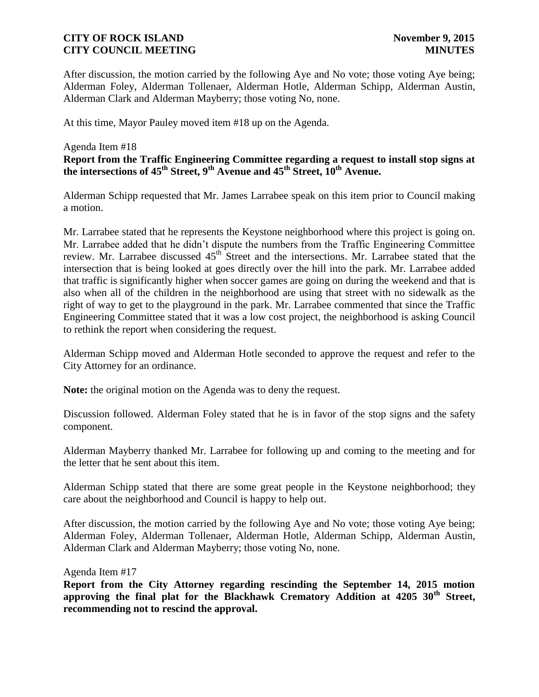After discussion, the motion carried by the following Aye and No vote; those voting Aye being; Alderman Foley, Alderman Tollenaer, Alderman Hotle, Alderman Schipp, Alderman Austin, Alderman Clark and Alderman Mayberry; those voting No, none.

At this time, Mayor Pauley moved item #18 up on the Agenda.

#### Agenda Item #18

**Report from the Traffic Engineering Committee regarding a request to install stop signs at the intersections of 45th Street, 9th Avenue and 45th Street, 10th Avenue.** 

Alderman Schipp requested that Mr. James Larrabee speak on this item prior to Council making a motion.

Mr. Larrabee stated that he represents the Keystone neighborhood where this project is going on. Mr. Larrabee added that he didn't dispute the numbers from the Traffic Engineering Committee review. Mr. Larrabee discussed 45<sup>th</sup> Street and the intersections. Mr. Larrabee stated that the intersection that is being looked at goes directly over the hill into the park. Mr. Larrabee added that traffic is significantly higher when soccer games are going on during the weekend and that is also when all of the children in the neighborhood are using that street with no sidewalk as the right of way to get to the playground in the park. Mr. Larrabee commented that since the Traffic Engineering Committee stated that it was a low cost project, the neighborhood is asking Council to rethink the report when considering the request.

Alderman Schipp moved and Alderman Hotle seconded to approve the request and refer to the City Attorney for an ordinance.

**Note:** the original motion on the Agenda was to deny the request.

Discussion followed. Alderman Foley stated that he is in favor of the stop signs and the safety component.

Alderman Mayberry thanked Mr. Larrabee for following up and coming to the meeting and for the letter that he sent about this item.

Alderman Schipp stated that there are some great people in the Keystone neighborhood; they care about the neighborhood and Council is happy to help out.

After discussion, the motion carried by the following Aye and No vote; those voting Aye being; Alderman Foley, Alderman Tollenaer, Alderman Hotle, Alderman Schipp, Alderman Austin, Alderman Clark and Alderman Mayberry; those voting No, none.

Agenda Item #17

**Report from the City Attorney regarding rescinding the September 14, 2015 motion approving the final plat for the Blackhawk Crematory Addition at 4205 30th Street, recommending not to rescind the approval.**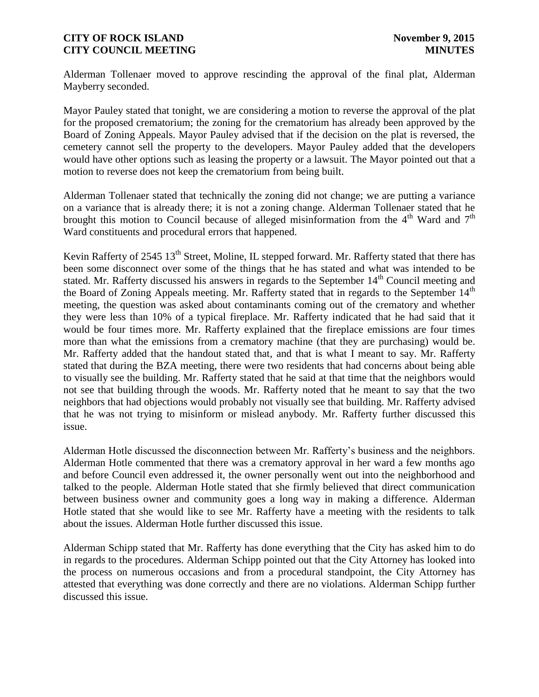Alderman Tollenaer moved to approve rescinding the approval of the final plat, Alderman Mayberry seconded.

Mayor Pauley stated that tonight, we are considering a motion to reverse the approval of the plat for the proposed crematorium; the zoning for the crematorium has already been approved by the Board of Zoning Appeals. Mayor Pauley advised that if the decision on the plat is reversed, the cemetery cannot sell the property to the developers. Mayor Pauley added that the developers would have other options such as leasing the property or a lawsuit. The Mayor pointed out that a motion to reverse does not keep the crematorium from being built.

Alderman Tollenaer stated that technically the zoning did not change; we are putting a variance on a variance that is already there; it is not a zoning change. Alderman Tollenaer stated that he brought this motion to Council because of alleged misinformation from the  $4<sup>th</sup>$  Ward and  $7<sup>th</sup>$ Ward constituents and procedural errors that happened.

Kevin Rafferty of 2545 13<sup>th</sup> Street, Moline, IL stepped forward. Mr. Rafferty stated that there has been some disconnect over some of the things that he has stated and what was intended to be stated. Mr. Rafferty discussed his answers in regards to the September  $14<sup>th</sup>$  Council meeting and the Board of Zoning Appeals meeting. Mr. Rafferty stated that in regards to the September  $14<sup>th</sup>$ meeting, the question was asked about contaminants coming out of the crematory and whether they were less than 10% of a typical fireplace. Mr. Rafferty indicated that he had said that it would be four times more. Mr. Rafferty explained that the fireplace emissions are four times more than what the emissions from a crematory machine (that they are purchasing) would be. Mr. Rafferty added that the handout stated that, and that is what I meant to say. Mr. Rafferty stated that during the BZA meeting, there were two residents that had concerns about being able to visually see the building. Mr. Rafferty stated that he said at that time that the neighbors would not see that building through the woods. Mr. Rafferty noted that he meant to say that the two neighbors that had objections would probably not visually see that building. Mr. Rafferty advised that he was not trying to misinform or mislead anybody. Mr. Rafferty further discussed this issue.

Alderman Hotle discussed the disconnection between Mr. Rafferty's business and the neighbors. Alderman Hotle commented that there was a crematory approval in her ward a few months ago and before Council even addressed it, the owner personally went out into the neighborhood and talked to the people. Alderman Hotle stated that she firmly believed that direct communication between business owner and community goes a long way in making a difference. Alderman Hotle stated that she would like to see Mr. Rafferty have a meeting with the residents to talk about the issues. Alderman Hotle further discussed this issue.

Alderman Schipp stated that Mr. Rafferty has done everything that the City has asked him to do in regards to the procedures. Alderman Schipp pointed out that the City Attorney has looked into the process on numerous occasions and from a procedural standpoint, the City Attorney has attested that everything was done correctly and there are no violations. Alderman Schipp further discussed this issue.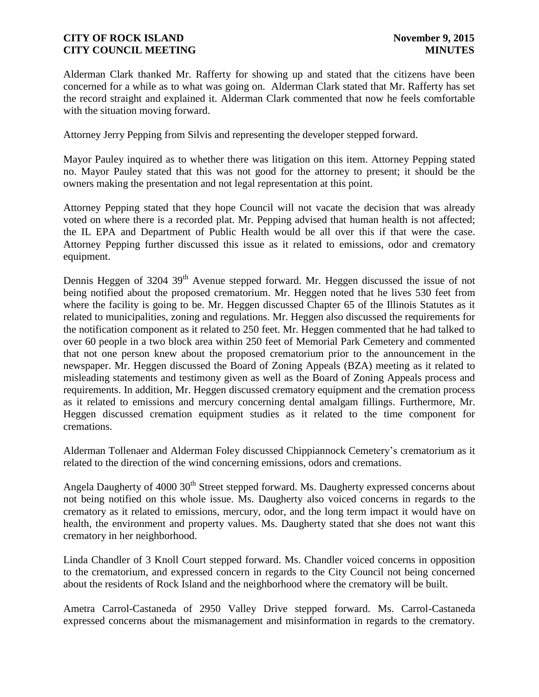Alderman Clark thanked Mr. Rafferty for showing up and stated that the citizens have been concerned for a while as to what was going on. Alderman Clark stated that Mr. Rafferty has set the record straight and explained it. Alderman Clark commented that now he feels comfortable with the situation moving forward.

Attorney Jerry Pepping from Silvis and representing the developer stepped forward.

Mayor Pauley inquired as to whether there was litigation on this item. Attorney Pepping stated no. Mayor Pauley stated that this was not good for the attorney to present; it should be the owners making the presentation and not legal representation at this point.

Attorney Pepping stated that they hope Council will not vacate the decision that was already voted on where there is a recorded plat. Mr. Pepping advised that human health is not affected; the IL EPA and Department of Public Health would be all over this if that were the case. Attorney Pepping further discussed this issue as it related to emissions, odor and crematory equipment.

Dennis Heggen of 3204 39<sup>th</sup> Avenue stepped forward. Mr. Heggen discussed the issue of not being notified about the proposed crematorium. Mr. Heggen noted that he lives 530 feet from where the facility is going to be. Mr. Heggen discussed Chapter 65 of the Illinois Statutes as it related to municipalities, zoning and regulations. Mr. Heggen also discussed the requirements for the notification component as it related to 250 feet. Mr. Heggen commented that he had talked to over 60 people in a two block area within 250 feet of Memorial Park Cemetery and commented that not one person knew about the proposed crematorium prior to the announcement in the newspaper. Mr. Heggen discussed the Board of Zoning Appeals (BZA) meeting as it related to misleading statements and testimony given as well as the Board of Zoning Appeals process and requirements. In addition, Mr. Heggen discussed crematory equipment and the cremation process as it related to emissions and mercury concerning dental amalgam fillings. Furthermore, Mr. Heggen discussed cremation equipment studies as it related to the time component for cremations.

Alderman Tollenaer and Alderman Foley discussed Chippiannock Cemetery's crematorium as it related to the direction of the wind concerning emissions, odors and cremations.

Angela Daugherty of 4000 30<sup>th</sup> Street stepped forward. Ms. Daugherty expressed concerns about not being notified on this whole issue. Ms. Daugherty also voiced concerns in regards to the crematory as it related to emissions, mercury, odor, and the long term impact it would have on health, the environment and property values. Ms. Daugherty stated that she does not want this crematory in her neighborhood.

Linda Chandler of 3 Knoll Court stepped forward. Ms. Chandler voiced concerns in opposition to the crematorium, and expressed concern in regards to the City Council not being concerned about the residents of Rock Island and the neighborhood where the crematory will be built.

Ametra Carrol-Castaneda of 2950 Valley Drive stepped forward. Ms. Carrol-Castaneda expressed concerns about the mismanagement and misinformation in regards to the crematory.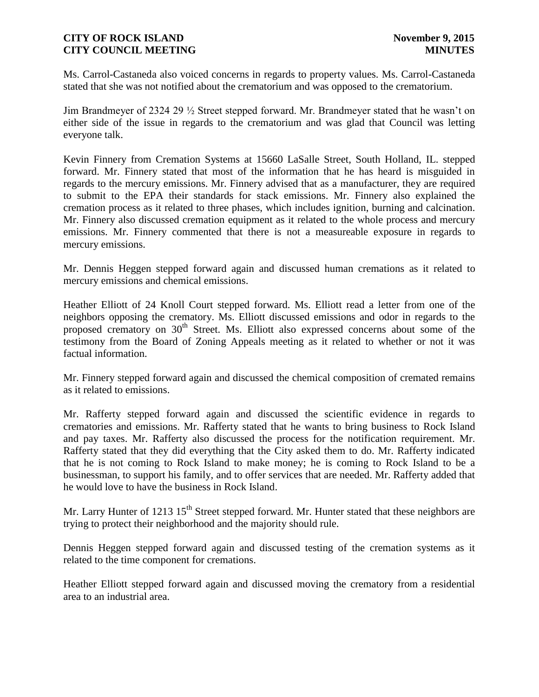Ms. Carrol-Castaneda also voiced concerns in regards to property values. Ms. Carrol-Castaneda stated that she was not notified about the crematorium and was opposed to the crematorium.

Jim Brandmeyer of 2324 29 ½ Street stepped forward. Mr. Brandmeyer stated that he wasn't on either side of the issue in regards to the crematorium and was glad that Council was letting everyone talk.

Kevin Finnery from Cremation Systems at 15660 LaSalle Street, South Holland, IL. stepped forward. Mr. Finnery stated that most of the information that he has heard is misguided in regards to the mercury emissions. Mr. Finnery advised that as a manufacturer, they are required to submit to the EPA their standards for stack emissions. Mr. Finnery also explained the cremation process as it related to three phases, which includes ignition, burning and calcination. Mr. Finnery also discussed cremation equipment as it related to the whole process and mercury emissions. Mr. Finnery commented that there is not a measureable exposure in regards to mercury emissions.

Mr. Dennis Heggen stepped forward again and discussed human cremations as it related to mercury emissions and chemical emissions.

Heather Elliott of 24 Knoll Court stepped forward. Ms. Elliott read a letter from one of the neighbors opposing the crematory. Ms. Elliott discussed emissions and odor in regards to the proposed crematory on  $30<sup>th</sup>$  Street. Ms. Elliott also expressed concerns about some of the testimony from the Board of Zoning Appeals meeting as it related to whether or not it was factual information.

Mr. Finnery stepped forward again and discussed the chemical composition of cremated remains as it related to emissions.

Mr. Rafferty stepped forward again and discussed the scientific evidence in regards to crematories and emissions. Mr. Rafferty stated that he wants to bring business to Rock Island and pay taxes. Mr. Rafferty also discussed the process for the notification requirement. Mr. Rafferty stated that they did everything that the City asked them to do. Mr. Rafferty indicated that he is not coming to Rock Island to make money; he is coming to Rock Island to be a businessman, to support his family, and to offer services that are needed. Mr. Rafferty added that he would love to have the business in Rock Island.

Mr. Larry Hunter of 1213 15<sup>th</sup> Street stepped forward. Mr. Hunter stated that these neighbors are trying to protect their neighborhood and the majority should rule.

Dennis Heggen stepped forward again and discussed testing of the cremation systems as it related to the time component for cremations.

Heather Elliott stepped forward again and discussed moving the crematory from a residential area to an industrial area.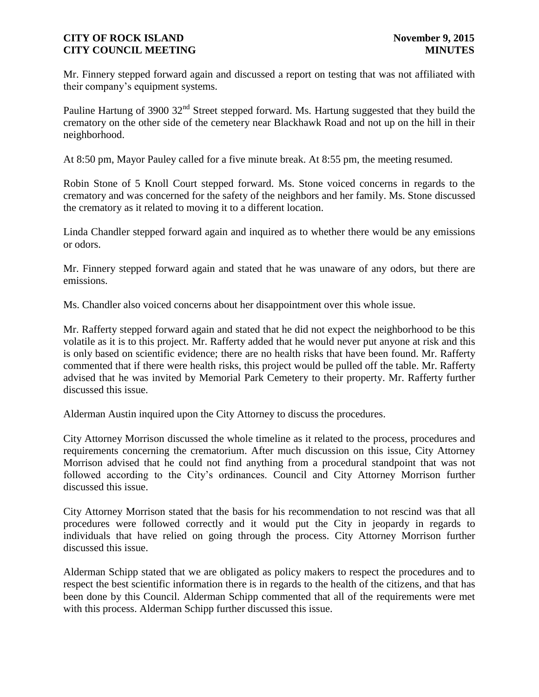Mr. Finnery stepped forward again and discussed a report on testing that was not affiliated with their company's equipment systems.

Pauline Hartung of 3900 32<sup>nd</sup> Street stepped forward. Ms. Hartung suggested that they build the crematory on the other side of the cemetery near Blackhawk Road and not up on the hill in their neighborhood.

At 8:50 pm, Mayor Pauley called for a five minute break. At 8:55 pm, the meeting resumed.

Robin Stone of 5 Knoll Court stepped forward. Ms. Stone voiced concerns in regards to the crematory and was concerned for the safety of the neighbors and her family. Ms. Stone discussed the crematory as it related to moving it to a different location.

Linda Chandler stepped forward again and inquired as to whether there would be any emissions or odors.

Mr. Finnery stepped forward again and stated that he was unaware of any odors, but there are emissions.

Ms. Chandler also voiced concerns about her disappointment over this whole issue.

Mr. Rafferty stepped forward again and stated that he did not expect the neighborhood to be this volatile as it is to this project. Mr. Rafferty added that he would never put anyone at risk and this is only based on scientific evidence; there are no health risks that have been found. Mr. Rafferty commented that if there were health risks, this project would be pulled off the table. Mr. Rafferty advised that he was invited by Memorial Park Cemetery to their property. Mr. Rafferty further discussed this issue.

Alderman Austin inquired upon the City Attorney to discuss the procedures.

City Attorney Morrison discussed the whole timeline as it related to the process, procedures and requirements concerning the crematorium. After much discussion on this issue, City Attorney Morrison advised that he could not find anything from a procedural standpoint that was not followed according to the City's ordinances. Council and City Attorney Morrison further discussed this issue.

City Attorney Morrison stated that the basis for his recommendation to not rescind was that all procedures were followed correctly and it would put the City in jeopardy in regards to individuals that have relied on going through the process. City Attorney Morrison further discussed this issue.

Alderman Schipp stated that we are obligated as policy makers to respect the procedures and to respect the best scientific information there is in regards to the health of the citizens, and that has been done by this Council. Alderman Schipp commented that all of the requirements were met with this process. Alderman Schipp further discussed this issue.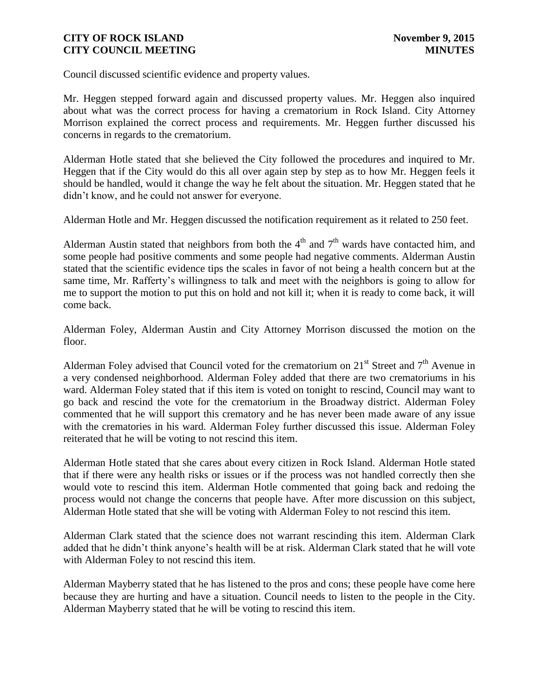Council discussed scientific evidence and property values.

Mr. Heggen stepped forward again and discussed property values. Mr. Heggen also inquired about what was the correct process for having a crematorium in Rock Island. City Attorney Morrison explained the correct process and requirements. Mr. Heggen further discussed his concerns in regards to the crematorium.

Alderman Hotle stated that she believed the City followed the procedures and inquired to Mr. Heggen that if the City would do this all over again step by step as to how Mr. Heggen feels it should be handled, would it change the way he felt about the situation. Mr. Heggen stated that he didn't know, and he could not answer for everyone.

Alderman Hotle and Mr. Heggen discussed the notification requirement as it related to 250 feet.

Alderman Austin stated that neighbors from both the  $4<sup>th</sup>$  and  $7<sup>th</sup>$  wards have contacted him, and some people had positive comments and some people had negative comments. Alderman Austin stated that the scientific evidence tips the scales in favor of not being a health concern but at the same time, Mr. Rafferty's willingness to talk and meet with the neighbors is going to allow for me to support the motion to put this on hold and not kill it; when it is ready to come back, it will come back.

Alderman Foley, Alderman Austin and City Attorney Morrison discussed the motion on the floor.

Alderman Foley advised that Council voted for the crematorium on  $21<sup>st</sup>$  Street and  $7<sup>th</sup>$  Avenue in a very condensed neighborhood. Alderman Foley added that there are two crematoriums in his ward. Alderman Foley stated that if this item is voted on tonight to rescind, Council may want to go back and rescind the vote for the crematorium in the Broadway district. Alderman Foley commented that he will support this crematory and he has never been made aware of any issue with the crematories in his ward. Alderman Foley further discussed this issue. Alderman Foley reiterated that he will be voting to not rescind this item.

Alderman Hotle stated that she cares about every citizen in Rock Island. Alderman Hotle stated that if there were any health risks or issues or if the process was not handled correctly then she would vote to rescind this item. Alderman Hotle commented that going back and redoing the process would not change the concerns that people have. After more discussion on this subject, Alderman Hotle stated that she will be voting with Alderman Foley to not rescind this item.

Alderman Clark stated that the science does not warrant rescinding this item. Alderman Clark added that he didn't think anyone's health will be at risk. Alderman Clark stated that he will vote with Alderman Foley to not rescind this item.

Alderman Mayberry stated that he has listened to the pros and cons; these people have come here because they are hurting and have a situation. Council needs to listen to the people in the City. Alderman Mayberry stated that he will be voting to rescind this item.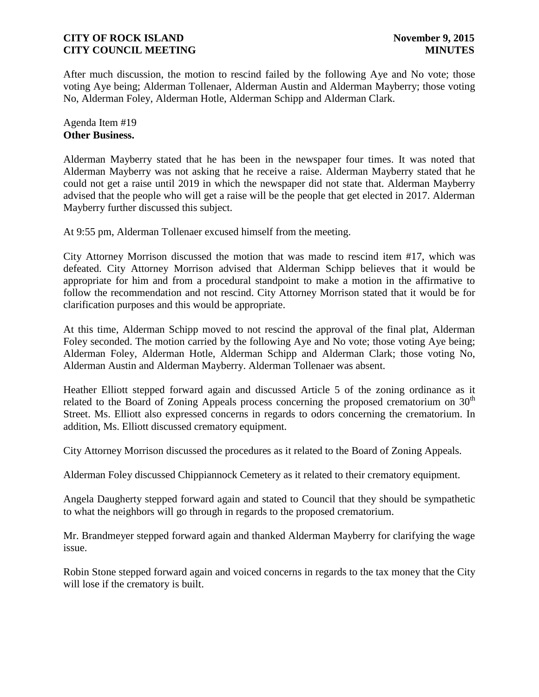After much discussion, the motion to rescind failed by the following Aye and No vote; those voting Aye being; Alderman Tollenaer, Alderman Austin and Alderman Mayberry; those voting No, Alderman Foley, Alderman Hotle, Alderman Schipp and Alderman Clark.

Agenda Item #19 **Other Business.**

Alderman Mayberry stated that he has been in the newspaper four times. It was noted that Alderman Mayberry was not asking that he receive a raise. Alderman Mayberry stated that he could not get a raise until 2019 in which the newspaper did not state that. Alderman Mayberry advised that the people who will get a raise will be the people that get elected in 2017. Alderman Mayberry further discussed this subject.

At 9:55 pm, Alderman Tollenaer excused himself from the meeting.

City Attorney Morrison discussed the motion that was made to rescind item #17, which was defeated. City Attorney Morrison advised that Alderman Schipp believes that it would be appropriate for him and from a procedural standpoint to make a motion in the affirmative to follow the recommendation and not rescind. City Attorney Morrison stated that it would be for clarification purposes and this would be appropriate.

At this time, Alderman Schipp moved to not rescind the approval of the final plat, Alderman Foley seconded. The motion carried by the following Aye and No vote; those voting Aye being; Alderman Foley, Alderman Hotle, Alderman Schipp and Alderman Clark; those voting No, Alderman Austin and Alderman Mayberry. Alderman Tollenaer was absent.

Heather Elliott stepped forward again and discussed Article 5 of the zoning ordinance as it related to the Board of Zoning Appeals process concerning the proposed crematorium on  $30<sup>th</sup>$ Street. Ms. Elliott also expressed concerns in regards to odors concerning the crematorium. In addition, Ms. Elliott discussed crematory equipment.

City Attorney Morrison discussed the procedures as it related to the Board of Zoning Appeals.

Alderman Foley discussed Chippiannock Cemetery as it related to their crematory equipment.

Angela Daugherty stepped forward again and stated to Council that they should be sympathetic to what the neighbors will go through in regards to the proposed crematorium.

Mr. Brandmeyer stepped forward again and thanked Alderman Mayberry for clarifying the wage issue.

Robin Stone stepped forward again and voiced concerns in regards to the tax money that the City will lose if the crematory is built.